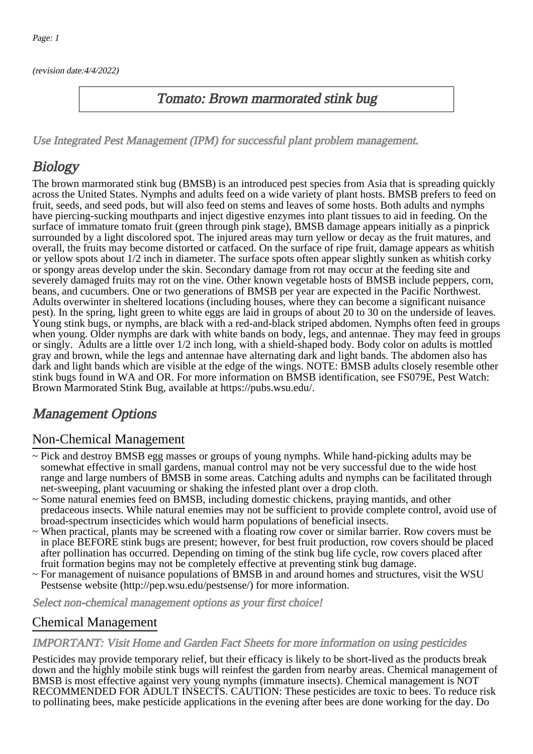(revision date:4/4/2022)

### Tomato: Brown marmorated stink bug

[Use Integrated Pest Management \(IPM\) for successful plant problem management.](http://pep.wsu.edu/Home_Garden/H_G_Pesticide_info/urban_Integrated_Pest_Managmen/)

# **Biology**

The brown marmorated stink bug (BMSB) is an introduced pest species from Asia that is spreading quickly across the United States. Nymphs and adults feed on a wide variety of plant hosts. BMSB prefers to feed on fruit, seeds, and seed pods, but will also feed on stems and leaves of some hosts. Both adults and nymphs have piercing-sucking mouthparts and inject digestive enzymes into plant tissues to aid in feeding. On the surface of immature tomato fruit (green through pink stage), BMSB damage appears initially as a pinprick surrounded by a light discolored spot. The injured areas may turn yellow or decay as the fruit matures, and overall, the fruits may become distorted or catfaced. On the surface of ripe fruit, damage appears as whitish or yellow spots about 1/2 inch in diameter. The surface spots often appear slightly sunken as whitish corky or spongy areas develop under the skin. Secondary damage from rot may occur at the feeding site and severely damaged fruits may rot on the vine. Other known vegetable hosts of BMSB include peppers, corn, beans, and cucumbers. One or two generations of BMSB per year are expected in the Pacific Northwest. Adults overwinter in sheltered locations (including houses, where they can become a significant nuisance pest). In the spring, light green to white eggs are laid in groups of about 20 to 30 on the underside of leaves. Young stink bugs, or nymphs, are black with a red-and-black striped abdomen. Nymphs often feed in groups when young. Older nymphs are dark with white bands on body, legs, and antennae. They may feed in groups or singly. Adults are a little over 1/2 inch long, with a shield-shaped body. Body color on adults is mottled gray and brown, while the legs and antennae have alternating dark and light bands. The abdomen also has dark and light bands which are visible at the edge of the wings. NOTE: BMSB adults closely resemble other stink bugs found in WA and OR. For more information on BMSB identification, see FS079E, Pest Watch: Brown Marmorated Stink Bug, available at https://pubs.wsu.edu/.

## Management Options

### Non-Chemical Management

- ~ Pick and destroy BMSB egg masses or groups of young nymphs. While hand-picking adults may be somewhat effective in small gardens, manual control may not be very successful due to the wide host range and large numbers of BMSB in some areas. Catching adults and nymphs can be facilitated through net-sweeping, plant vacuuming or shaking the infested plant over a drop cloth.
- ~ Some natural enemies feed on BMSB, including domestic chickens, praying mantids, and other predaceous insects. While natural enemies may not be sufficient to provide complete control, avoid use of broad-spectrum insecticides which would harm populations of beneficial insects.
- ~ When practical, plants may be screened with a floating row cover or similar barrier. Row covers must be in place BEFORE stink bugs are present; however, for best fruit production, row covers should be placed after pollination has occurred. Depending on timing of the stink bug life cycle, row covers placed after fruit formation begins may not be completely effective at preventing stink bug damage.
- ~ For management of nuisance populations of BMSB in and around homes and structures, visit the WSU Pestsense website (http://pep.wsu.edu/pestsense/) for more information.

Select non-chemical management options as your first choice!

#### Chemical Management

#### IMPORTANT: [Visit Home and Garden Fact Sheets for more information on using pesticides](http://pep.wsu.edu/Home_Garden/H_G_Pesticide_info/)

Pesticides may provide temporary relief, but their efficacy is likely to be short-lived as the products break down and the highly mobile stink bugs will reinfest the garden from nearby areas. Chemical management of BMSB is most effective against very young nymphs (immature insects). Chemical management is NOT RECOMMENDED FOR ADULT INSECTS. CAUTION: These pesticides are toxic to bees. To reduce risk to pollinating bees, make pesticide applications in the evening after bees are done working for the day. Do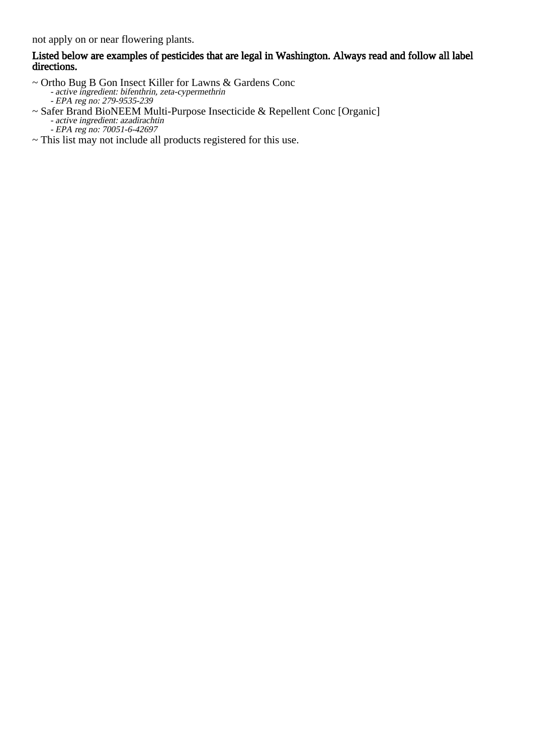not apply on or near flowering plants.

#### Listed below are examples of pesticides that are legal in Washington. Always read and follow all label directions.

- $\sim$  Ort Ortho Bug B Gon Insect Killer for Lawns & Gardens Conc active ingredient: bifenthrin, zeta-cypermethrin
- EPA reg no: 279-9535-239 ~ Safer Brand BioNEEM Multi-Purpose Insecticide & Repellent Conc [Organic] active ingredient: azadirachtin
	- -<br>-EPA reg no: 70051-6-42697
- ~ This list may not include all products registered for this use.